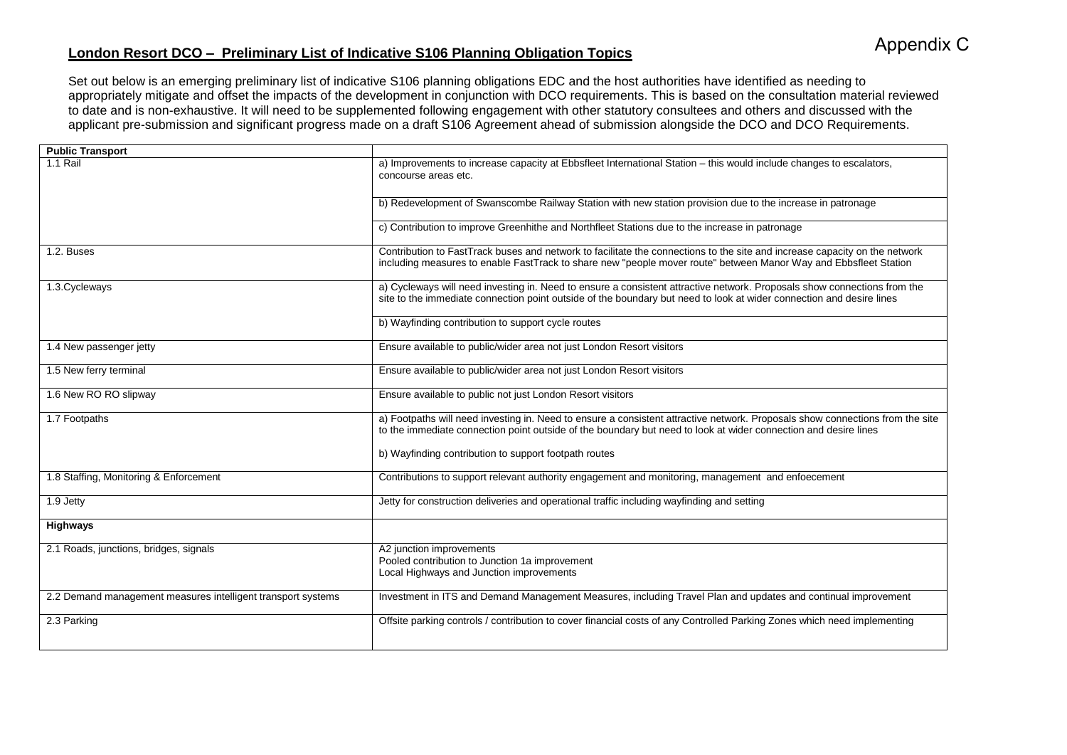## **London Resort DCO – Preliminary List of Indicative S106 Planning Obligation Topics**

Set out below is an emerging preliminary list of indicative S106 planning obligations EDC and the host authorities have identified as needing to appropriately mitigate and offset the impacts of the development in conjunction with DCO requirements. This is based on the consultation material reviewed to date and is non-exhaustive. It will need to be supplemented following engagement with other statutory consultees and others and discussed with the applicant pre-submission and significant progress made on a draft S106 Agreement ahead of submission alongside the DCO and DCO Requirements.

| <b>Public Transport</b>                                      |                                                                                                                                                                                                                                                  |
|--------------------------------------------------------------|--------------------------------------------------------------------------------------------------------------------------------------------------------------------------------------------------------------------------------------------------|
| $1.1$ Rail                                                   | a) Improvements to increase capacity at Ebbsfleet International Station - this would include changes to escalators,<br>concourse areas etc.                                                                                                      |
|                                                              | b) Redevelopment of Swanscombe Railway Station with new station provision due to the increase in patronage                                                                                                                                       |
|                                                              | c) Contribution to improve Greenhithe and Northfleet Stations due to the increase in patronage                                                                                                                                                   |
| 1.2. Buses                                                   | Contribution to FastTrack buses and network to facilitate the connections to the site and increase capacity on the network<br>including measures to enable FastTrack to share new "people mover route" between Manor Way and Ebbsfleet Station   |
| 1.3. Cycleways                                               | a) Cycleways will need investing in. Need to ensure a consistent attractive network. Proposals show connections from the<br>site to the immediate connection point outside of the boundary but need to look at wider connection and desire lines |
|                                                              | b) Wayfinding contribution to support cycle routes                                                                                                                                                                                               |
| 1.4 New passenger jetty                                      | Ensure available to public/wider area not just London Resort visitors                                                                                                                                                                            |
| 1.5 New ferry terminal                                       | Ensure available to public/wider area not just London Resort visitors                                                                                                                                                                            |
| 1.6 New RO RO slipway                                        | Ensure available to public not just London Resort visitors                                                                                                                                                                                       |
| 1.7 Footpaths                                                | a) Footpaths will need investing in. Need to ensure a consistent attractive network. Proposals show connections from the site<br>to the immediate connection point outside of the boundary but need to look at wider connection and desire lines |
|                                                              | b) Wayfinding contribution to support footpath routes                                                                                                                                                                                            |
| 1.8 Staffing, Monitoring & Enforcement                       | Contributions to support relevant authority engagement and monitoring, management and enfoecement                                                                                                                                                |
| 1.9 Jetty                                                    | Jetty for construction deliveries and operational traffic including wayfinding and setting                                                                                                                                                       |
| Highways                                                     |                                                                                                                                                                                                                                                  |
| 2.1 Roads, junctions, bridges, signals                       | A2 junction improvements<br>Pooled contribution to Junction 1a improvement<br>Local Highways and Junction improvements                                                                                                                           |
| 2.2 Demand management measures intelligent transport systems | Investment in ITS and Demand Management Measures, including Travel Plan and updates and continual improvement                                                                                                                                    |
| 2.3 Parking                                                  | Offsite parking controls / contribution to cover financial costs of any Controlled Parking Zones which need implementing                                                                                                                         |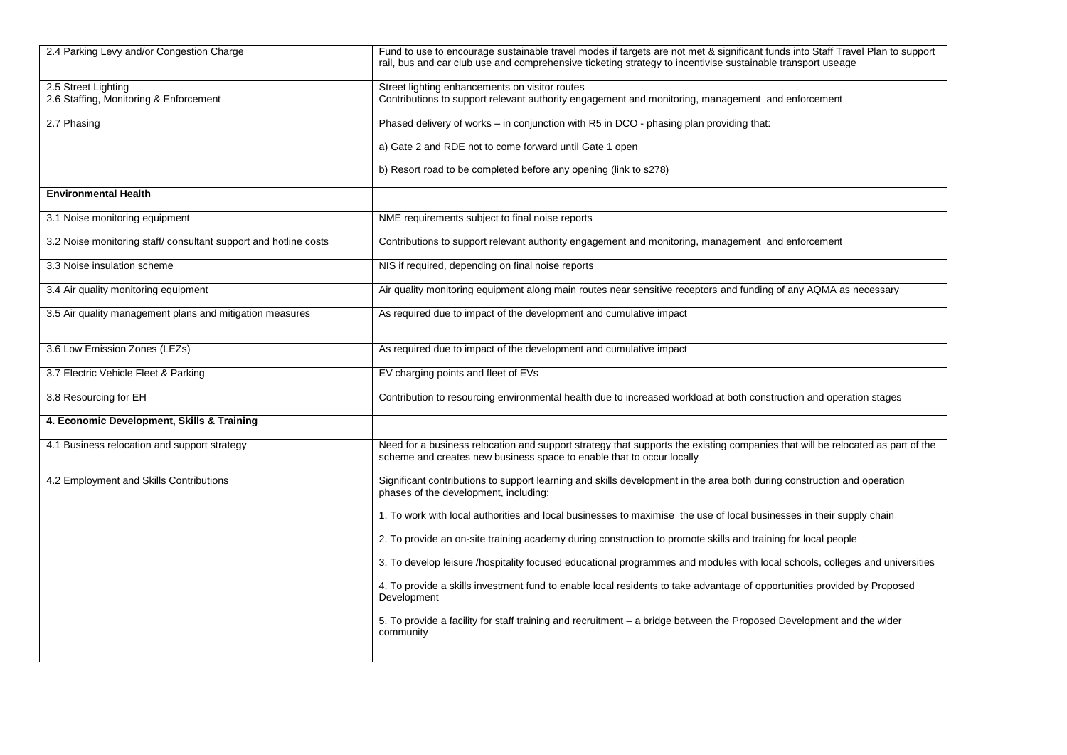| 2.4 Parking Levy and/or Congestion Charge                       | Fund to use to encourage sustainable travel modes if targets are not met & significant funds into Staff Travel Plan to support<br>rail, bus and car club use and comprehensive ticketing strategy to incentivise sustainable transport useage |
|-----------------------------------------------------------------|-----------------------------------------------------------------------------------------------------------------------------------------------------------------------------------------------------------------------------------------------|
| 2.5 Street Lighting                                             | Street lighting enhancements on visitor routes                                                                                                                                                                                                |
| 2.6 Staffing, Monitoring & Enforcement                          | Contributions to support relevant authority engagement and monitoring, management and enforcement                                                                                                                                             |
| 2.7 Phasing                                                     | Phased delivery of works - in conjunction with R5 in DCO - phasing plan providing that:                                                                                                                                                       |
|                                                                 | a) Gate 2 and RDE not to come forward until Gate 1 open                                                                                                                                                                                       |
|                                                                 | b) Resort road to be completed before any opening (link to s278)                                                                                                                                                                              |
| <b>Environmental Health</b>                                     |                                                                                                                                                                                                                                               |
| 3.1 Noise monitoring equipment                                  | NME requirements subject to final noise reports                                                                                                                                                                                               |
| 3.2 Noise monitoring staff/consultant support and hotline costs | Contributions to support relevant authority engagement and monitoring, management and enforcement                                                                                                                                             |
| 3.3 Noise insulation scheme                                     | NIS if required, depending on final noise reports                                                                                                                                                                                             |
| 3.4 Air quality monitoring equipment                            | Air quality monitoring equipment along main routes near sensitive receptors and funding of any AQMA as necessary                                                                                                                              |
| 3.5 Air quality management plans and mitigation measures        | As required due to impact of the development and cumulative impact                                                                                                                                                                            |
| 3.6 Low Emission Zones (LEZs)                                   | As required due to impact of the development and cumulative impact                                                                                                                                                                            |
| 3.7 Electric Vehicle Fleet & Parking                            | EV charging points and fleet of EVs                                                                                                                                                                                                           |
| 3.8 Resourcing for EH                                           | Contribution to resourcing environmental health due to increased workload at both construction and operation stages                                                                                                                           |
| 4. Economic Development, Skills & Training                      |                                                                                                                                                                                                                                               |
| 4.1 Business relocation and support strategy                    | Need for a business relocation and support strategy that supports the existing companies that will be relocated as part of the<br>scheme and creates new business space to enable that to occur locally                                       |
| 4.2 Employment and Skills Contributions                         | Significant contributions to support learning and skills development in the area both during construction and operation<br>phases of the development, including:                                                                              |
|                                                                 | 1. To work with local authorities and local businesses to maximise the use of local businesses in their supply chain                                                                                                                          |
|                                                                 | 2. To provide an on-site training academy during construction to promote skills and training for local people                                                                                                                                 |
|                                                                 | 3. To develop leisure /hospitality focused educational programmes and modules with local schools, colleges and universities                                                                                                                   |
|                                                                 | 4. To provide a skills investment fund to enable local residents to take advantage of opportunities provided by Proposed<br>Development                                                                                                       |
|                                                                 | 5. To provide a facility for staff training and recruitment - a bridge between the Proposed Development and the wider<br>community                                                                                                            |
|                                                                 |                                                                                                                                                                                                                                               |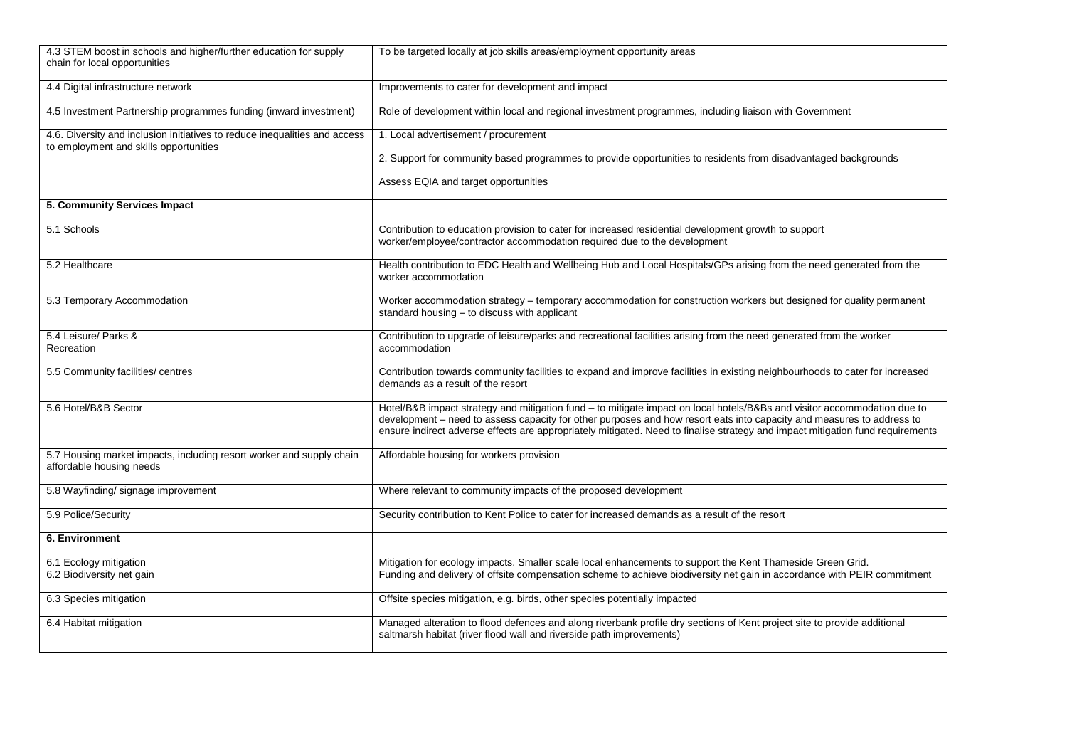| 4.3 STEM boost in schools and higher/further education for supply<br>chain for local opportunities                   | To be targeted locally at job skills areas/employment opportunity areas                                                                                                                                                                                                                                                                                                             |
|----------------------------------------------------------------------------------------------------------------------|-------------------------------------------------------------------------------------------------------------------------------------------------------------------------------------------------------------------------------------------------------------------------------------------------------------------------------------------------------------------------------------|
| 4.4 Digital infrastructure network                                                                                   | Improvements to cater for development and impact                                                                                                                                                                                                                                                                                                                                    |
| 4.5 Investment Partnership programmes funding (inward investment)                                                    | Role of development within local and regional investment programmes, including liaison with Government                                                                                                                                                                                                                                                                              |
| 4.6. Diversity and inclusion initiatives to reduce inequalities and access<br>to employment and skills opportunities | 1. Local advertisement / procurement                                                                                                                                                                                                                                                                                                                                                |
|                                                                                                                      | 2. Support for community based programmes to provide opportunities to residents from disadvantaged backgrounds                                                                                                                                                                                                                                                                      |
|                                                                                                                      | Assess EQIA and target opportunities                                                                                                                                                                                                                                                                                                                                                |
| 5. Community Services Impact                                                                                         |                                                                                                                                                                                                                                                                                                                                                                                     |
| 5.1 Schools                                                                                                          | Contribution to education provision to cater for increased residential development growth to support<br>worker/employee/contractor accommodation required due to the development                                                                                                                                                                                                    |
| 5.2 Healthcare                                                                                                       | Health contribution to EDC Health and Wellbeing Hub and Local Hospitals/GPs arising from the need generated from the<br>worker accommodation                                                                                                                                                                                                                                        |
| 5.3 Temporary Accommodation                                                                                          | Worker accommodation strategy - temporary accommodation for construction workers but designed for quality permanent<br>standard housing - to discuss with applicant                                                                                                                                                                                                                 |
| 5.4 Leisure/ Parks &<br>Recreation                                                                                   | Contribution to upgrade of leisure/parks and recreational facilities arising from the need generated from the worker<br>accommodation                                                                                                                                                                                                                                               |
| 5.5 Community facilities/ centres                                                                                    | Contribution towards community facilities to expand and improve facilities in existing neighbourhoods to cater for increased<br>demands as a result of the resort                                                                                                                                                                                                                   |
| 5.6 Hotel/B&B Sector                                                                                                 | Hotel/B&B impact strategy and mitigation fund - to mitigate impact on local hotels/B&Bs and visitor accommodation due to<br>development - need to assess capacity for other purposes and how resort eats into capacity and measures to address to<br>ensure indirect adverse effects are appropriately mitigated. Need to finalise strategy and impact mitigation fund requirements |
| 5.7 Housing market impacts, including resort worker and supply chain<br>affordable housing needs                     | Affordable housing for workers provision                                                                                                                                                                                                                                                                                                                                            |
| 5.8 Wayfinding/signage improvement                                                                                   | Where relevant to community impacts of the proposed development                                                                                                                                                                                                                                                                                                                     |
| 5.9 Police/Security                                                                                                  | Security contribution to Kent Police to cater for increased demands as a result of the resort                                                                                                                                                                                                                                                                                       |
| 6. Environment                                                                                                       |                                                                                                                                                                                                                                                                                                                                                                                     |
| 6.1 Ecology mitigation                                                                                               | Mitigation for ecology impacts. Smaller scale local enhancements to support the Kent Thameside Green Grid.                                                                                                                                                                                                                                                                          |
| 6.2 Biodiversity net gain                                                                                            | Funding and delivery of offsite compensation scheme to achieve biodiversity net gain in accordance with PEIR commitment                                                                                                                                                                                                                                                             |
| 6.3 Species mitigation                                                                                               | Offsite species mitigation, e.g. birds, other species potentially impacted                                                                                                                                                                                                                                                                                                          |
| 6.4 Habitat mitigation                                                                                               | Managed alteration to flood defences and along riverbank profile dry sections of Kent project site to provide additional<br>saltmarsh habitat (river flood wall and riverside path improvements)                                                                                                                                                                                    |